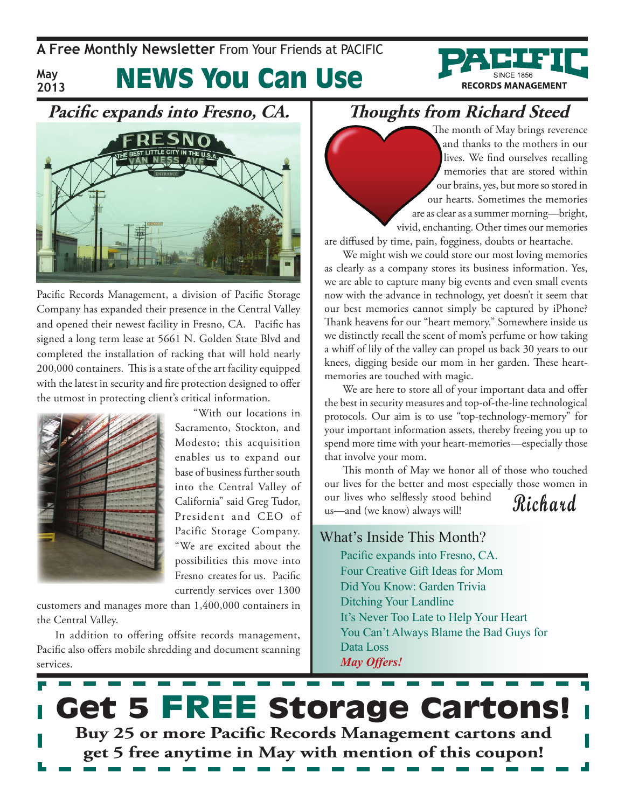**May 2013** News You Can Use





Pacific Records Management, a division of Pacific Storage Company has expanded their presence in the Central Valley and opened their newest facility in Fresno, CA. Pacific has signed a long term lease at 5661 N. Golden State Blvd and completed the installation of racking that will hold nearly 200,000 containers. This is a state of the art facility equipped with the latest in security and fire protection designed to offer the utmost in protecting client's critical information.



"With our locations in Sacramento, Stockton, and Modesto; this acquisition enables us to expand our base of business further south into the Central Valley of California" said Greg Tudor, President and CEO of Pacific Storage Company. "We are excited about the possibilities this move into Fresno creates for us. Pacific currently services over 1300

customers and manages more than 1,400,000 containers in the Central Valley.

In addition to offering offsite records management, Pacific also offers mobile shredding and document scanning services.

## **Thoughts from Richard Steed**

The month of May brings reverence and thanks to the mothers in our lives. We find ourselves recalling memories that are stored within our brains, yes, but more so stored in our hearts. Sometimes the memories are as clear as a summer morning—bright, vivid, enchanting. Other times our memories

are diffused by time, pain, fogginess, doubts or heartache.

We might wish we could store our most loving memories as clearly as a company stores its business information. Yes, we are able to capture many big events and even small events now with the advance in technology, yet doesn't it seem that our best memories cannot simply be captured by iPhone? Thank heavens for our "heart memory." Somewhere inside us we distinctly recall the scent of mom's perfume or how taking a whiff of lily of the valley can propel us back 30 years to our knees, digging beside our mom in her garden. These heartmemories are touched with magic.

We are here to store all of your important data and offer the best in security measures and top-of-the-line technological protocols. Our aim is to use "top-technology-memory" for your important information assets, thereby freeing you up to spend more time with your heart-memories—especially those that involve your mom.

**Richard** This month of May we honor all of those who touched our lives for the better and most especially those women in our lives who selflessly stood behind us—and (we know) always will!

### What's Inside This Month?

Pacific expands into Fresno, CA. Four Creative Gift Ideas for Mom Did You Know: Garden Trivia Ditching Your Landline It's Never Too Late to Help Your Heart You Can't Always Blame the Bad Guys for Data Loss *May Offers!*

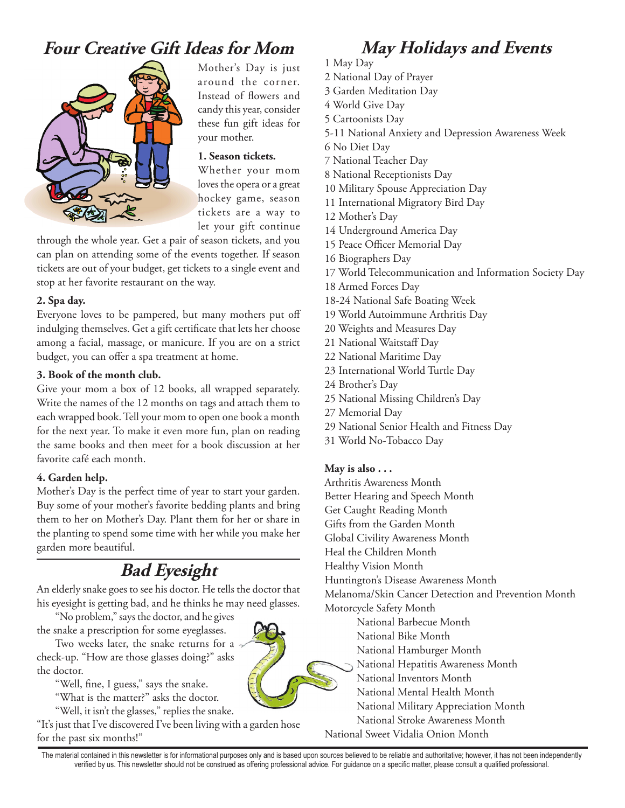## **Four Creative Gift Ideas for Mom May Holidays and Events**



Mother's Day is just around the corner. Instead of flowers and candy this year, consider these fun gift ideas for your mother.

#### **1. Season tickets.**

Whether your mom loves the opera or a great hockey game, season tickets are a way to let your gift continue

through the whole year. Get a pair of season tickets, and you can plan on attending some of the events together. If season tickets are out of your budget, get tickets to a single event and stop at her favorite restaurant on the way.

#### **2. Spa day.**

Everyone loves to be pampered, but many mothers put off indulging themselves. Get a gift certificate that lets her choose among a facial, massage, or manicure. If you are on a strict budget, you can offer a spa treatment at home.

#### **3. Book of the month club.**

Give your mom a box of 12 books, all wrapped separately. Write the names of the 12 months on tags and attach them to each wrapped book. Tell your mom to open one book a month for the next year. To make it even more fun, plan on reading the same books and then meet for a book discussion at her favorite café each month.

#### **4. Garden help.**

Mother's Day is the perfect time of year to start your garden. Buy some of your mother's favorite bedding plants and bring them to her on Mother's Day. Plant them for her or share in the planting to spend some time with her while you make her garden more beautiful.

## **Bad Eyesight**

An elderly snake goes to see his doctor. He tells the doctor that his eyesight is getting bad, and he thinks he may need glasses.

"No problem," says the doctor, and he gives the snake a prescription for some eyeglasses.

Two weeks later, the snake returns for a check-up. "How are those glasses doing?" asks the doctor.

"Well, fine, I guess," says the snake.

"What is the matter?" asks the doctor.

"Well, it isn't the glasses," replies the snake.

"It's just that I've discovered I've been living with a garden hose for the past six months!"

- 1 May Day
- 2 National Day of Prayer
- 3 Garden Meditation Day
- 4 World Give Day
- 5 Cartoonists Day
- 5-11 National Anxiety and Depression Awareness Week
- 6 No Diet Day
- 7 National Teacher Day
- 8 National Receptionists Day
- 10 Military Spouse Appreciation Day
- 11 International Migratory Bird Day
- 12 Mother's Day
- 14 Underground America Day
- 15 Peace Officer Memorial Day
- 16 Biographers Day
- 17 World Telecommunication and Information Society Day
- 18 Armed Forces Day
- 18-24 National Safe Boating Week
- 19 World Autoimmune Arthritis Day
- 20 Weights and Measures Day
- 21 National Waitstaff Day
- 22 National Maritime Day
- 23 International World Turtle Day
- 24 Brother's Day
- 25 National Missing Children's Day
- 27 Memorial Day
- 29 National Senior Health and Fitness Day
- 31 World No-Tobacco Day

#### **May is also . . .**

Arthritis Awareness Month

- Better Hearing and Speech Month
- Get Caught Reading Month
- Gifts from the Garden Month
- Global Civility Awareness Month
- Heal the Children Month
- Healthy Vision Month
- Huntington's Disease Awareness Month

Melanoma/Skin Cancer Detection and Prevention Month

- Motorcycle Safety Month
	- National Barbecue Month
	- National Bike Month
	- National Hamburger Month
	- National Hepatitis Awareness Month
	- National Inventors Month
		- National Mental Health Month
	- National Military Appreciation Month
	- National Stroke Awareness Month
- National Sweet Vidalia Onion Month

The material contained in this newsletter is for informational purposes only and is based upon sources believed to be reliable and authoritative; however, it has not been independently verified by us. This newsletter should not be construed as offering professional advice. For guidance on a specific matter, please consult a qualified professional.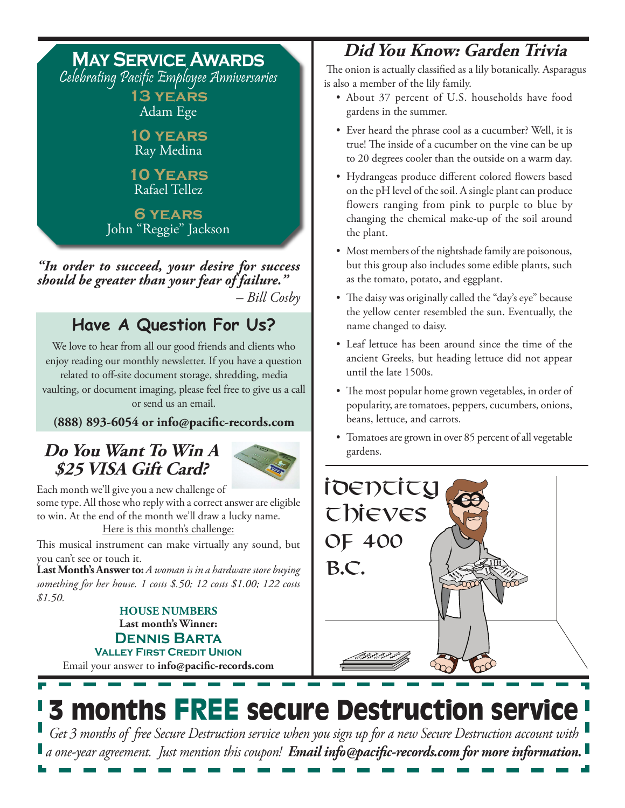## **May Service Awards**

Celebrating Pacific Employee Anniversaries **13 years**

Adam Ege

**10 years** Ray Medina

**10 Years** Rafael Tellez

**6 years** John "Reggie" Jackson

*"In order to succeed, your desire for success should be greater than your fear of failure." – Bill Cosby*

## **Have A Question For Us?**

We love to hear from all our good friends and clients who enjoy reading our monthly newsletter. If you have a question related to off-site document storage, shredding, media vaulting, or document imaging, please feel free to give us a call or send us an email.

#### **(888) 893-6054 or info@pacific-records.com**

## **Do You Want To Win A \$25 VISA Gift Card?**



Each month we'll give you a new challenge of some type. All those who reply with a correct answer are eligible to win. At the end of the month we'll draw a lucky name. Here is this month's challenge:

This musical instrument can make virtually any sound, but you can't see or touch it.

**Last Month's Answer to:**  $A$  woman is in a hardware store buying  $\mathcal{B}$ .  $\mathbb{C}$ . *something for her house. 1 costs \$.50; 12 costs \$1.00; 122 costs \$1.50.* 

Email your answer to **info@pacific-records.com Last month's Winner: Dennis Barta Valley First Credit Union HOUSE NUMBERS**

## **Did You Know: Garden Trivia**

 The onion is actually classified as a lily botanically. Asparagus is also a member of the lily family.

- • About 37 percent of U.S. households have food gardens in the summer.
- Ever heard the phrase cool as a cucumber? Well, it is true! The inside of a cucumber on the vine can be up to 20 degrees cooler than the outside on a warm day.
- • Hydrangeas produce different colored flowers based on the pH level of the soil. A single plant can produce flowers ranging from pink to purple to blue by changing the chemical make-up of the soil around the plant.
- Most members of the nightshade family are poisonous, but this group also includes some edible plants, such as the tomato, potato, and eggplant.
- The daisy was originally called the "day's eye" because the yellow center resembled the sun. Eventually, the name changed to daisy.
- Leaf lettuce has been around since the time of the ancient Greeks, but heading lettuce did not appear until the late 1500s.
- The most popular home grown vegetables, in order of popularity, are tomatoes, peppers, cucumbers, onions, beans, lettuce, and carrots.
- • Tomatoes are grown in over 85 percent of all vegetable gardens.



3 months FREE secure Destruction service

*Get 3 months of free Secure Destruction service when you sign up for a new Secure Destruction account with a one-year agreement. Just mention this coupon! Email info@pacific-records.com for more information.*